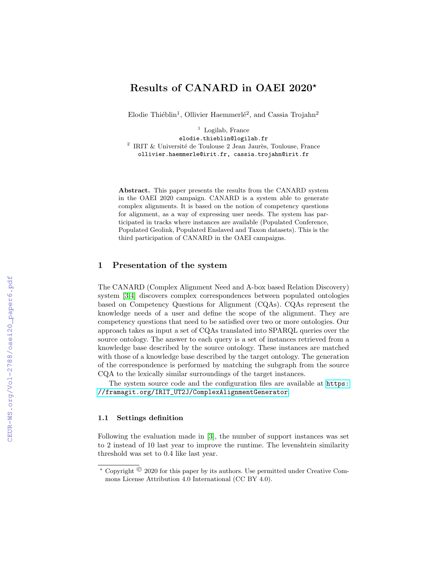# Results of CANARD in OAEI 2020?

Elodie Thiéblin<sup>1</sup>, Ollivier Haemmerlé<sup>2</sup>, and Cassia Trojahn<sup>2</sup>

 $1$  Logilab, France

elodie.thieblin@logilab.fr  $2$  IRIT & Université de Toulouse 2 Jean Jaurès, Toulouse, France ollivier.haemmerle@irit.fr, cassia.trojahn@irit.fr

Abstract. This paper presents the results from the CANARD system in the OAEI 2020 campaign. CANARD is a system able to generate complex alignments. It is based on the notion of competency questions for alignment, as a way of expressing user needs. The system has participated in tracks where instances are available (Populated Conference, Populated Geolink, Populated Enslaved and Taxon datasets). This is the third participation of CANARD in the OAEI campaigns.

## 1 Presentation of the system

The CANARD (Complex Alignment Need and A-box based Relation Discovery) system [\[3,](#page--1-0)[4\]](#page--1-1) discovers complex correspondences between populated ontologies based on Competency Questions for Alignment (CQAs). CQAs represent the knowledge needs of a user and define the scope of the alignment. They are competency questions that need to be satisfied over two or more ontologies. Our approach takes as input a set of CQAs translated into SPARQL queries over the source ontology. The answer to each query is a set of instances retrieved from a knowledge base described by the source ontology. These instances are matched with those of a knowledge base described by the target ontology. The generation of the correspondence is performed by matching the subgraph from the source CQA to the lexically similar surroundings of the target instances.

The system source code and the configuration files are available at [https:](https://framagit.org/IRIT_UT2J/ComplexAlignmentGenerator) [//framagit.org/IRIT\\_UT2J/ComplexAlignmentGenerator](https://framagit.org/IRIT_UT2J/ComplexAlignmentGenerator).

#### 1.1 Settings definition

Following the evaluation made in [\[3\]](#page--1-0), the number of support instances was set to 2 instead of 10 last year to improve the runtime. The levenshtein similarity threshold was set to 0.4 like last year.

 $*$  Copyright  $\odot$  2020 for this paper by its authors. Use permitted under Creative Commons License Attribution 4.0 International (CC BY 4.0).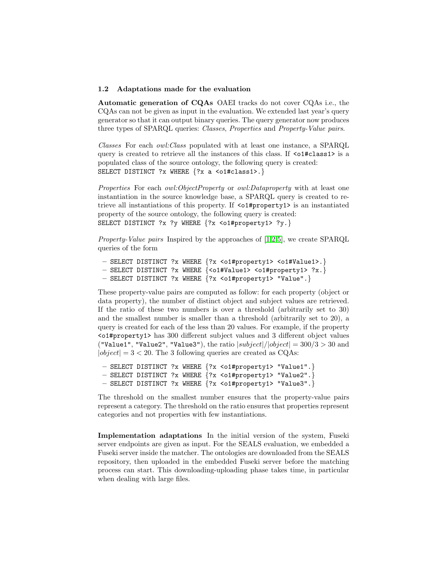#### 1.2 Adaptations made for the evaluation

Automatic generation of CQAs OAEI tracks do not cover CQAs i.e., the CQAs can not be given as input in the evaluation. We extended last year's query generator so that it can output binary queries. The query generator now produces three types of SPARQL queries: Classes, Properties and Property-Value pairs.

Classes For each owl:Class populated with at least one instance, a SPARQL query is created to retrieve all the instances of this class. If  $\leq$  1#class1> is a populated class of the source ontology, the following query is created: SELECT DISTINCT ?x WHERE {?x a <o1#class1>.}

Properties For each *owl:ObjectProperty* or *owl:Dataproperty* with at least one instantiation in the source knowledge base, a SPARQL query is created to retrieve all instantiations of this property. If <o1#property1> is an instantiated property of the source ontology, the following query is created: SELECT DISTINCT ?x ?y WHERE {?x <o1#property1> ?y.}

Property-Value pairs Inspired by the approaches of [\[1](#page-4-0)[,2,](#page-4-1)[5\]](#page-4-2), we create SPARQL queries of the form

```
– SELECT DISTINCT ?x WHERE {?x <o1#property1> <o1#Value1>.}
– SELECT DISTINCT ?x WHERE {<o1#Value1> <o1#property1> ?x.}
– SELECT DISTINCT ?x WHERE {?x <o1#property1> "Value".}
```
These property-value pairs are computed as follow: for each property (object or data property), the number of distinct object and subject values are retrieved. If the ratio of these two numbers is over a threshold (arbitrarily set to 30) and the smallest number is smaller than a threshold (arbitrarily set to 20), a query is created for each of the less than 20 values. For example, if the property <o1#property1> has 300 different subject values and 3 different object values ("Value1", "Value2", "Value3"), the ratio  $|subject|/|object| = 300/3 > 30$  and  $|object| = 3 < 20$ . The 3 following queries are created as CQAs:

```
– SELECT DISTINCT ?x WHERE {?x <o1#property1> "Value1".}
– SELECT DISTINCT ?x WHERE {?x <o1#property1> "Value2".}
– SELECT DISTINCT ?x WHERE {?x <o1#property1> "Value3".}
```
The threshold on the smallest number ensures that the property-value pairs represent a category. The threshold on the ratio ensures that properties represent categories and not properties with few instantiations.

Implementation adaptations In the initial version of the system, Fuseki server endpoints are given as input. For the SEALS evaluation, we embedded a Fuseki server inside the matcher. The ontologies are downloaded from the SEALS repository, then uploaded in the embedded Fuseki server before the matching process can start. This downloading-uploading phase takes time, in particular when dealing with large files.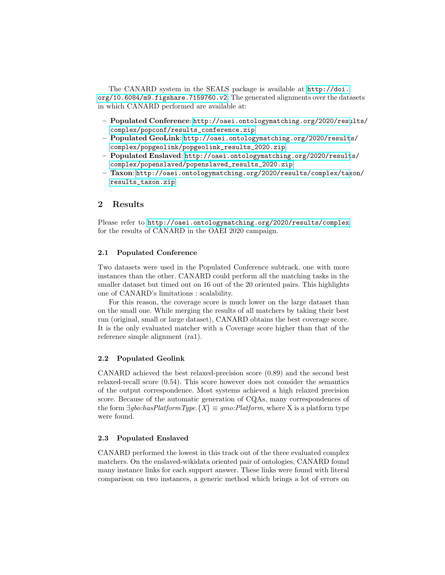The CANARD system in the SEALS package is available at [http://doi.](http://doi.org/10.6084/m9.figshare.7159760.v2) [org/10.6084/m9.figshare.7159760.v2](http://doi.org/10.6084/m9.figshare.7159760.v2). The generated alignments over the datasets in which CANARD performed are available at:

- Populated Conference: [http://oaei.ontologymatching.org/2020/resu](http://oaei.ontologymatching.org/2020/results/complex/popconf/results_conference.zip)lts/ [complex/popconf/results\\_conference.zip](http://oaei.ontologymatching.org/2020/results/complex/popconf/results_conference.zip)
- Populated GeoLink: [http://oaei.ontologymatching.org/2020/result](http://oaei.ontologymatching.org/2020/results/complex/popgeolink/popgeolink_results_2020.zip)s/ [complex/popgeolink/popgeolink\\_results\\_2020.zip](http://oaei.ontologymatching.org/2020/results/complex/popgeolink/popgeolink_results_2020.zip)
- Populated Enslaved: [http://oaei.ontologymatching.org/2020/result](http://oaei.ontologymatching.org/2020/results/complex/popenslaved/popenslaved_results_2020.zip)s/ [complex/popenslaved/popenslaved\\_results\\_2020.zip](http://oaei.ontologymatching.org/2020/results/complex/popenslaved/popenslaved_results_2020.zip)
- Taxon: [http://oaei.ontologymatching.org/2020/results/complex/tax](http://oaei.ontologymatching.org/2020/results/complex/taxon/results_taxon.zip)on/ [results\\_taxon.zip](http://oaei.ontologymatching.org/2020/results/complex/taxon/results_taxon.zip)

# 2 Results

Please refer to <http://oaei.ontologymatching.org/2020/results/complex> for the results of CANARD in the OAEI 2020 campaign.

#### 2.1 Populated Conference

Two datasets were used in the Populated Conference subtrack, one with more instances than the other. CANARD could perform all the matching tasks in the smaller dataset but timed out on 16 out of the 20 oriented pairs. This highlights one of CANARD's limitations : scalability.

For this reason, the coverage score is much lower on the large dataset than on the small one. While merging the results of all matchers by taking their best run (original, small or large dataset), CANARD obtains the best coverage score. It is the only evaluated matcher with a Coverage score higher than that of the reference simple alignment (ra1).

#### 2.2 Populated Geolink

CANARD achieved the best relaxed-precision score (0.89) and the second best relaxed-recall score (0.54). This score however does not consider the semantics of the output correspondence. Most systems achieved a high relaxed precision score. Because of the automatic generation of CQAs, many correspondences of the form  $\exists$ gbo:hasPlatformType.{X}  $\equiv$  gmo:Platform, where X is a platform type were found.

#### 2.3 Populated Enslaved

CANARD performed the lowest in this track out of the three evaluated complex matchers. On the enslaved-wikidata oriented pair of ontologies, CANARD found many instance links for each support answer. These links were found with literal comparison on two instances, a generic method which brings a lot of errors on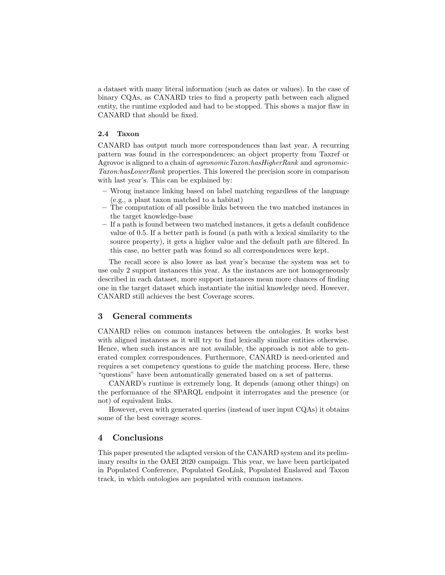a dataset with many literal information (such as dates or values). In the case of binary CQAs, as CANARD tries to find a property path between each aligned entity, the runtime exploded and had to be stopped. This shows a major flaw in CANARD that should be fixed.

#### 2.4 Taxon

CANARD has output much more correspondences than last year. A recurring pattern was found in the correspondences: an object property from Taxref or Agrovoc is aligned to a chain of *agronomicTaxon:hasHigherRank* and *agronomic*-Taxon:hasLowerRank properties. This lowered the precision score in comparison with last year's. This can be explained by:

- Wrong instance linking based on label matching regardless of the language (e.g., a plant taxon matched to a habitat)
- The computation of all possible links between the two matched instances in the target knowledge-base
- If a path is found between two matched instances, it gets a default confidence value of 0.5. If a better path is found (a path with a lexical similarity to the source property), it gets a higher value and the default path are filtered. In this case, no better path was found so all correspondences were kept.

The recall score is also lower as last year's because the system was set to use only 2 support instances this year. As the instances are not homogeneously described in each dataset, more support instances mean more chances of finding one in the target dataset which instantiate the initial knowledge need. However, CANARD still achieves the best Coverage scores.

## 3 General comments

CANARD relies on common instances between the ontologies. It works best with aligned instances as it will try to find lexically similar entities otherwise. Hence, when such instances are not available, the approach is not able to generated complex correspondences. Furthermore, CANARD is need-oriented and requires a set competency questions to guide the matching process. Here, these "questions" have been automatically generated based on a set of patterns.

CANARD's runtime is extremely long. It depends (among other things) on the performance of the SPARQL endpoint it interrogates and the presence (or not) of equivalent links.

However, even with generated queries (instead of user input CQAs) it obtains some of the best coverage scores.

### 4 Conclusions

This paper presented the adapted version of the CANARD system and its preliminary results in the OAEI 2020 campaign. This year, we have been participated in Populated Conference, Populated GeoLink, Populated Enslaved and Taxon track, in which ontologies are populated with common instances.